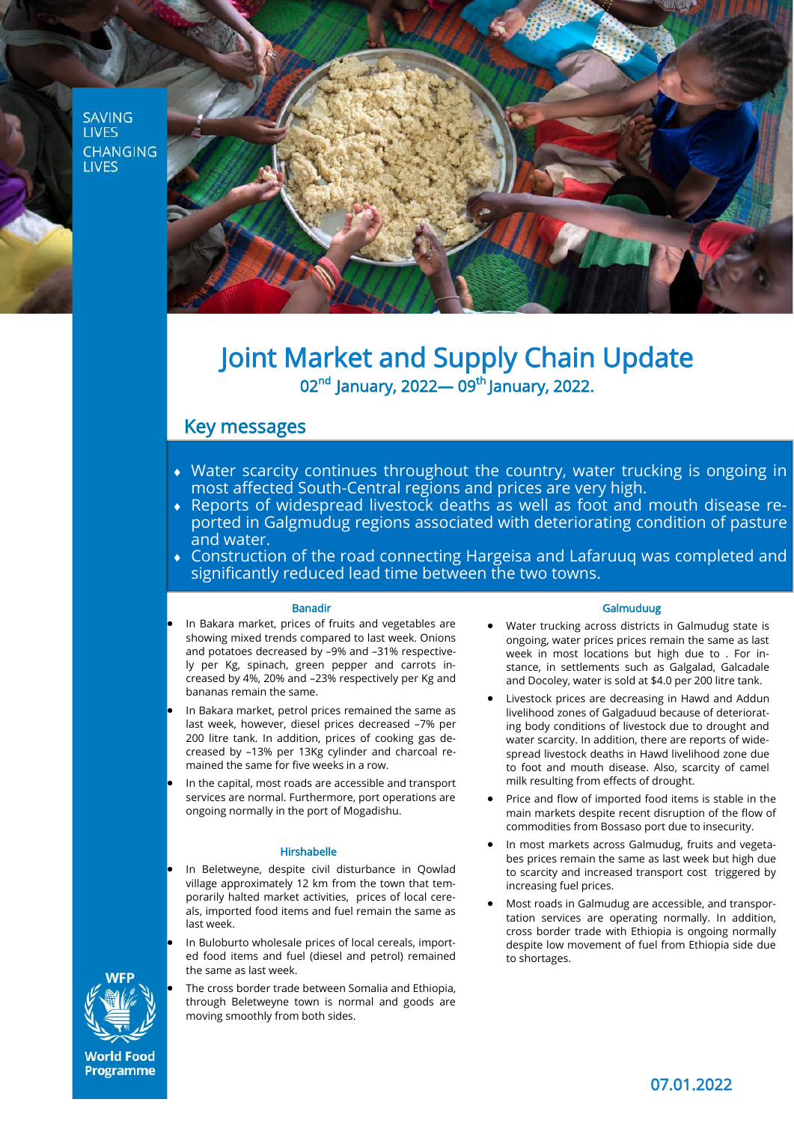**SAVING LIVES CHANGING LIVES** 



# Joint Market and Supply Chain Update 02<sup>nd</sup> January, 2022— 09<sup>th</sup> January, 2022.

# Key messages

- Water scarcity continues throughout the country, water trucking is ongoing in most affected South-Central regions and prices are very high.
- Reports of widespread livestock deaths as well as foot and mouth disease reported in Galgmudug regions associated with deteriorating condition of pasture and water.
- Construction of the road connecting Hargeisa and Lafaruuq was completed and significantly reduced lead time between the two towns.

## Banadir

• In Bakara market, prices of fruits and vegetables are showing mixed trends compared to last week. Onions and potatoes decreased by –9% and –31% respectively per Kg, spinach, green pepper and carrots increased by 4%, 20% and –23% respectively per Kg and bananas remain the same.

- In Bakara market, petrol prices remained the same as last week, however, diesel prices decreased –7% per 200 litre tank. In addition, prices of cooking gas decreased by –13% per 13Kg cylinder and charcoal remained the same for five weeks in a row.
- In the capital, most roads are accessible and transport services are normal. Furthermore, port operations are ongoing normally in the port of Mogadishu.

## Hirshabelle

• In Beletweyne, despite civil disturbance in Qowlad village approximately 12 km from the town that temporarily halted market activities, prices of local cereals, imported food items and fuel remain the same as last week.

- In Buloburto wholesale prices of local cereals, imported food items and fuel (diesel and petrol) remained the same as last week.
- The cross border trade between Somalia and Ethiopia, through Beletweyne town is normal and goods are moving smoothly from both sides.

## Galmuduug

- Water trucking across districts in Galmudug state is ongoing, water prices prices remain the same as last week in most locations but high due to . For instance, in settlements such as Galgalad, Galcadale and Docoley, water is sold at \$4.0 per 200 litre tank.
- Livestock prices are decreasing in Hawd and Addun livelihood zones of Galgaduud because of deteriorating body conditions of livestock due to drought and water scarcity. In addition, there are reports of widespread livestock deaths in Hawd livelihood zone due to foot and mouth disease. Also, scarcity of camel milk resulting from effects of drought.
- Price and flow of imported food items is stable in the main markets despite recent disruption of the flow of commodities from Bossaso port due to insecurity.
- In most markets across Galmudug, fruits and vegetabes prices remain the same as last week but high due to scarcity and increased transport cost triggered by increasing fuel prices.
- Most roads in Galmudug are accessible, and transportation services are operating normally. In addition, cross border trade with Ethiopia is ongoing normally despite low movement of fuel from Ethiopia side due to shortages.



**World Food Programme**